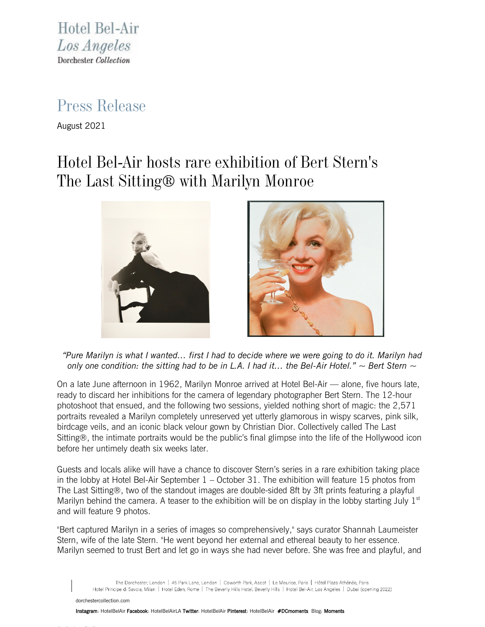Hotel Bel-Air Los Angeles Dorchester Collection

## Press Release

August 2021

## Hotel Bel-Air hosts rare exhibition of Bert Stern's The Last Sitting® with Marilyn Monroe



*"Pure Marilyn is what I wanted… first I had to decide where we were going to do it. Marilyn had only one condition: the sitting had to be in L.A. I had it… the Bel-Air Hotel." ~ Bert Stern ~*

On a late June afternoon in 1962, Marilyn Monroe arrived at Hotel Bel-Air — alone, five hours late, ready to discard her inhibitions for the camera of legendary photographer Bert Stern. The 12-hour photoshoot that ensued, and the following two sessions, yielded nothing short of magic: the 2,571 portraits revealed a Marilyn completely unreserved yet utterly glamorous in wispy scarves, pink silk, birdcage veils, and an iconic black velour gown by Christian Dior. Collectively called The Last Sitting®, the intimate portraits would be the public's final glimpse into the life of the Hollywood icon before her untimely death six weeks later.

Guests and locals alike will have a chance to discover Stern's series in a rare exhibition taking place in the lobby at Hotel Bel-Air September 1 – October 31. The exhibition will feature 15 photos from The Last Sitting®, two of the standout images are double-sided 8ft by 3ft prints featuring a playful Marilyn behind the camera. A teaser to the exhibition will be on display in the lobby starting July  $1<sup>st</sup>$ and will feature 9 photos.

"Bert captured Marilyn in a series of images so comprehensively," says curator Shannah Laumeister Stern, wife of the late Stern. "He went beyond her external and ethereal beauty to her essence. Marilyn seemed to trust Bert and let go in ways she had never before. She was free and playful, and

The Dorchester, London | 45 Park Lane, London | Coworth Park, Ascot | Le Meurice, Paris | Hôtel Plaza Athénée, Paris Hotel Principe di Savoia, Milan | Hotel Eden, Rome | The Beverly Hills Hotel, Beverly Hills | Hotel Bel-Air, Los Angeles | Dubai (opening 2022)

[dorchestercollection.com](https://www.dorchestercollection.com/en/los-angeles/hotel-bel-air/)